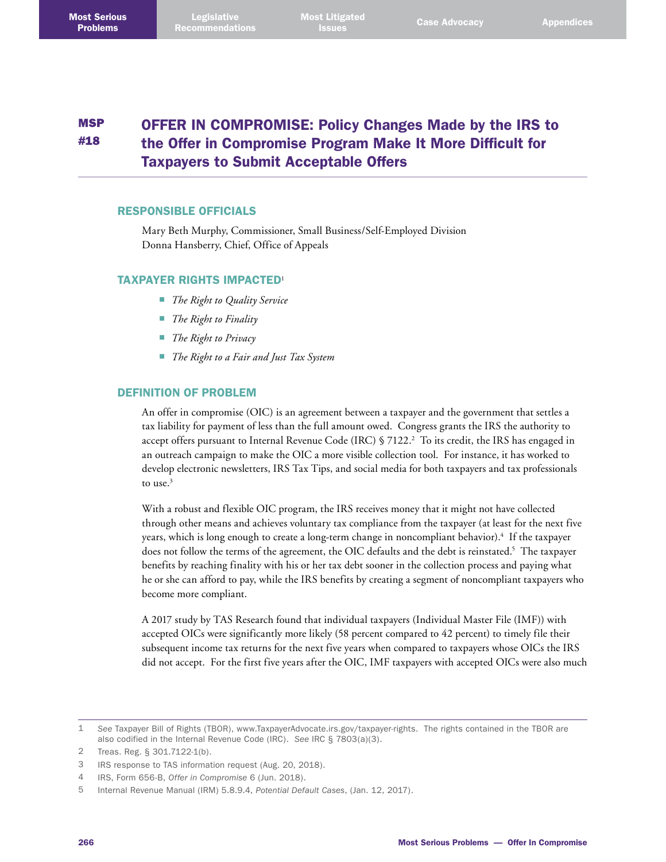#### **MSP** #18 OFFER IN COMPROMISE: Policy Changes Made by the IRS to the Offer in Compromise Program Make It More Difficult for Taxpayers to Submit Acceptable Offers

### RESPONSIBLE OFFICIALS

Mary Beth Murphy, Commissioner, Small Business/Self-Employed Division Donna Hansberry, Chief, Office of Appeals

#### TAXPAYER RIGHTS IMPACTED<sup>1</sup>

- *The Right to Quality Service*
- *The Right to Finality*
- *The Right to Privacy*
- *The Right to a Fair and Just Tax System*

### DEFINITION OF PROBLEM

An offer in compromise (OIC) is an agreement between a taxpayer and the government that settles a tax liability for payment of less than the full amount owed. Congress grants the IRS the authority to accept offers pursuant to Internal Revenue Code (IRC) § 7122.<sup>2</sup> To its credit, the IRS has engaged in an outreach campaign to make the OIC a more visible collection tool. For instance, it has worked to develop electronic newsletters, IRS Tax Tips, and social media for both taxpayers and tax professionals to use. $3$ 

With a robust and flexible OIC program, the IRS receives money that it might not have collected through other means and achieves voluntary tax compliance from the taxpayer (at least for the next five years, which is long enough to create a long-term change in noncompliant behavior).4 If the taxpayer does not follow the terms of the agreement, the OIC defaults and the debt is reinstated. $5$  The taxpayer benefits by reaching finality with his or her tax debt sooner in the collection process and paying what he or she can afford to pay, while the IRS benefits by creating a segment of noncompliant taxpayers who become more compliant.

A 2017 study by TAS Research found that individual taxpayers (Individual Master File (IMF)) with accepted OICs were significantly more likely (58 percent compared to 42 percent) to timely file their subsequent income tax returns for the next five years when compared to taxpayers whose OICs the IRS did not accept. For the first five years after the OIC, IMF taxpayers with accepted OICs were also much

<sup>1</sup> *See* Taxpayer Bill of Rights (TBOR), [www.TaxpayerAdvocate.irs.gov/taxpayer-rights](http://www.TaxpayerAdvocate.irs.gov/taxpayer-rights). The rights contained in the TBOR are also codified in the Internal Revenue Code (IRC). *See* IRC § 7803(a)(3).

<sup>2</sup> Treas. Reg. § 301.7122-1(b).

<sup>3</sup> IRS response to TAS information request (Aug. 20, 2018).

<sup>4</sup> IRS, Form 656-B, *Offer in Compromise* 6 (Jun. 2018).

<sup>5</sup> Internal Revenue Manual (IRM) 5.8.9.4, *Potential Default Cases*, (Jan. 12, 2017).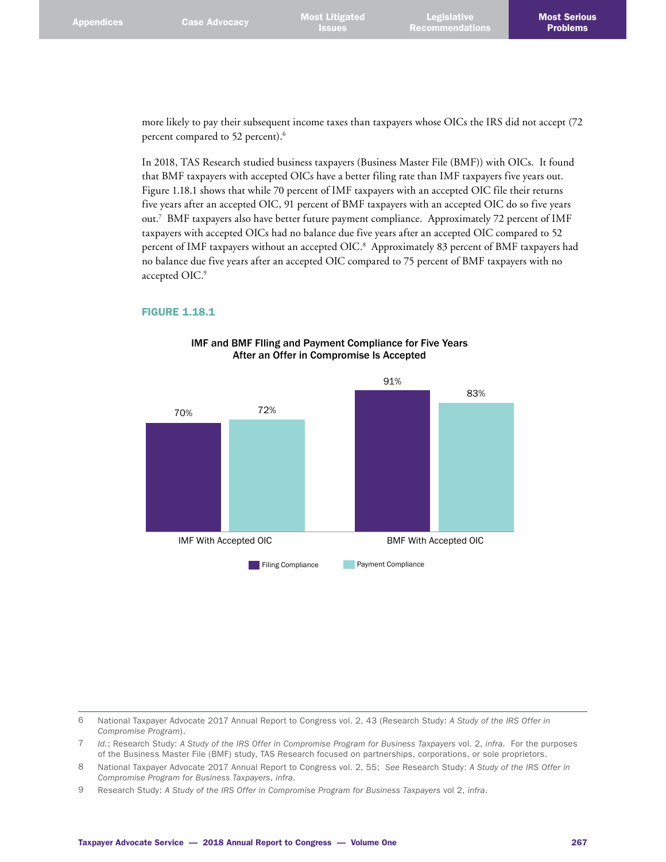more likely to pay their subsequent income taxes than taxpayers whose OICs the IRS did not accept (72 percent compared to 52 percent).<sup>6</sup>

In 2018, TAS Research studied business taxpayers (Business Master File (BMF)) with OICs. It found that BMF taxpayers with accepted OICs have a better filing rate than IMF taxpayers five years out. Figure 1.18.1 shows that while 70 percent of IMF taxpayers with an accepted OIC file their returns five years after an accepted OIC, 91 percent of BMF taxpayers with an accepted OIC do so five years out.7 BMF taxpayers also have better future payment compliance. Approximately 72 percent of IMF taxpayers with accepted OICs had no balance due five years after an accepted OIC compared to 52 percent of IMF taxpayers without an accepted OIC.8 Approximately 83 percent of BMF taxpayers had no balance due five years after an accepted OIC compared to 75 percent of BMF taxpayers with no accepted OIC.9

#### FIGURE 1.18.1



### IMF and BMF FIling and Payment Compliance for Five Years After an Offer in Compromise Is Accepted

6 National Taxpayer Advocate 2017 Annual Report to Congress vol. 2, 43 (Research Study: *A Study of the IRS Offer in Compromise Program*).

7 *Id*.; Research Study: *A Study of the IRS Offer in Compromise Program for Business Taxpayers* vol. 2, *infra*. For the purposes of the Business Master File (BMF) study, TAS Research focused on partnerships, corporations, or sole proprietors.

- 8 National Taxpayer Advocate 2017 Annual Report to Congress vol. 2, 55; *See* Research Study: *A Study of the IRS Offer in Compromise Program for Business Taxpayers*, *infra*.
- 9 Research Study: *A Study of the IRS Offer in Compromise Program for Business Taxpayers* vol 2, *infra*.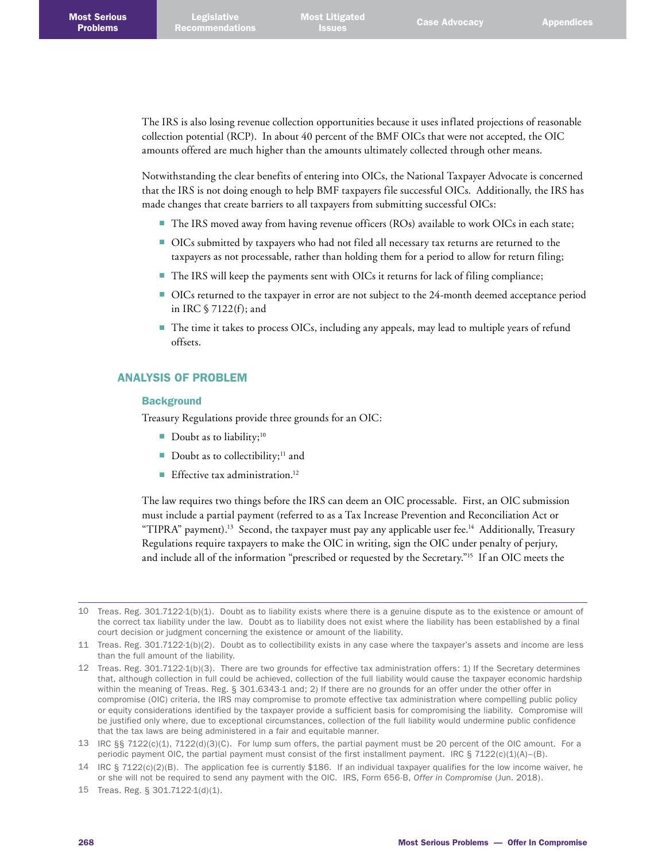The IRS is also losing revenue collection opportunities because it uses inflated projections of reasonable collection potential (RCP). In about 40 percent of the BMF OICs that were not accepted, the OIC amounts offered are much higher than the amounts ultimately collected through other means.

Notwithstanding the clear benefits of entering into OICs, the National Taxpayer Advocate is concerned that the IRS is not doing enough to help BMF taxpayers file successful OICs. Additionally, the IRS has made changes that create barriers to all taxpayers from submitting successful OICs:

- The IRS moved away from having revenue officers (ROs) available to work OICs in each state;
- OICs submitted by taxpayers who had not filed all necessary tax returns are returned to the taxpayers as not processable, rather than holding them for a period to allow for return filing;
- The IRS will keep the payments sent with OICs it returns for lack of filing compliance;
- OICs returned to the taxpayer in error are not subject to the 24-month deemed acceptance period in IRC § 7122(f); and
- The time it takes to process OICs, including any appeals, may lead to multiple years of refund offsets.

### ANALYSIS OF PROBLEM

#### **Background**

Treasury Regulations provide three grounds for an OIC:

- Doubt as to liability;<sup>10</sup>
- Doubt as to collectibility;<sup>11</sup> and
- **Effective tax administration.**<sup>12</sup>

The law requires two things before the IRS can deem an OIC processable. First, an OIC submission must include a partial payment (referred to as a Tax Increase Prevention and Reconciliation Act or "TIPRA" payment).<sup>13</sup> Second, the taxpayer must pay any applicable user fee.<sup>14</sup> Additionally, Treasury Regulations require taxpayers to make the OIC in writing, sign the OIC under penalty of perjury, and include all of the information "prescribed or requested by the Secretary."<sup>15</sup> If an OIC meets the

<sup>10</sup> Treas. Reg. 301.7122-1(b)(1). Doubt as to liability exists where there is a genuine dispute as to the existence or amount of the correct tax liability under the law. Doubt as to liability does not exist where the liability has been established by a final court decision or judgment concerning the existence or amount of the liability.

<sup>11</sup> Treas. Reg. 301.7122-1(b)(2). Doubt as to collectibility exists in any case where the taxpayer's assets and income are less than the full amount of the liability.

<sup>12</sup> Treas. Reg. 301.7122-1(b)(3). There are two grounds for effective tax administration offers: 1) If the Secretary determines that, although collection in full could be achieved, collection of the full liability would cause the taxpayer economic hardship within the meaning of Treas. Reg. § 301.6343-1 and; 2) If there are no grounds for an offer under the other offer in compromise (OIC) criteria, the IRS may compromise to promote effective tax administration where compelling public policy or equity considerations identified by the taxpayer provide a sufficient basis for compromising the liability. Compromise will be justified only where, due to exceptional circumstances, collection of the full liability would undermine public confidence that the tax laws are being administered in a fair and equitable manner.

<sup>13</sup> IRC §§ 7122(c)(1), 7122(d)(3)(C). For lump sum offers, the partial payment must be 20 percent of the OIC amount. For a periodic payment OIC, the partial payment must consist of the first installment payment. IRC  $\S$  7122(c)(1)(A)–(B).

<sup>14</sup> IRC § 7122(c)(2)(B). The application fee is currently \$186. If an individual taxpayer qualifies for the low income waiver, he or she will not be required to send any payment with the OIC. IRS, Form 656-B, *Offer in Compromise* (Jun. 2018).

<sup>15</sup> Treas. Reg. § 301.7122-1(d)(1).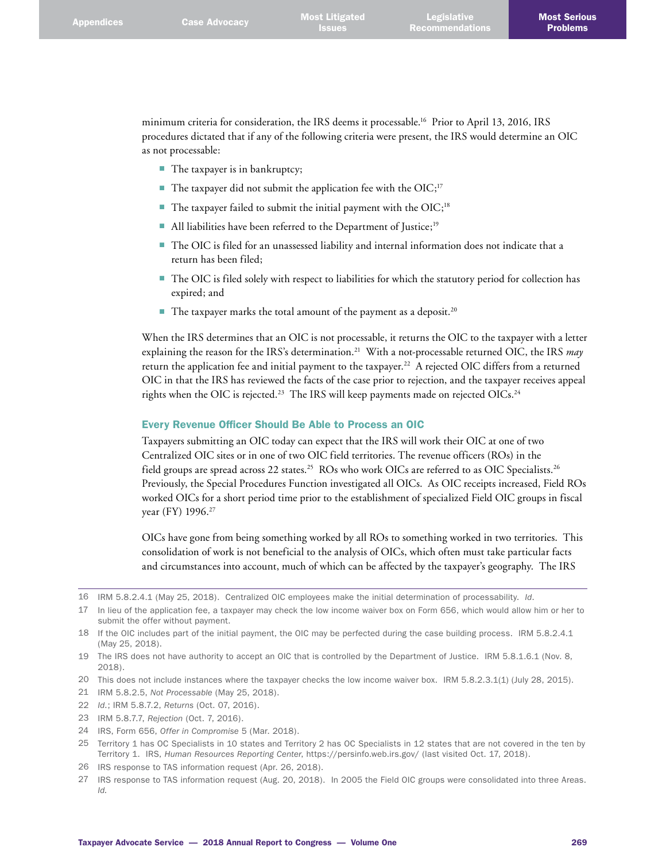minimum criteria for consideration, the IRS deems it processable.16 Prior to April 13, 2016, IRS procedures dictated that if any of the following criteria were present, the IRS would determine an OIC as not processable:

- The taxpayer is in bankruptcy;
- The taxpayer did not submit the application fee with the  $OIC;^{17}$
- $\blacksquare$  The taxpayer failed to submit the initial payment with the OIC;<sup>18</sup>
- All liabilities have been referred to the Department of Justice;<sup>19</sup>
- The OIC is filed for an unassessed liability and internal information does not indicate that a return has been filed;
- The OIC is filed solely with respect to liabilities for which the statutory period for collection has expired; and
- $\blacksquare$  The taxpayer marks the total amount of the payment as a deposit.<sup>20</sup>

When the IRS determines that an OIC is not processable, it returns the OIC to the taxpayer with a letter explaining the reason for the IRS's determination.21 With a not-processable returned OIC, the IRS *may* return the application fee and initial payment to the taxpayer.<sup>22</sup> A rejected OIC differs from a returned OIC in that the IRS has reviewed the facts of the case prior to rejection, and the taxpayer receives appeal rights when the OIC is rejected.<sup>23</sup> The IRS will keep payments made on rejected OICs.<sup>24</sup>

#### Every Revenue Officer Should Be Able to Process an OIC

Taxpayers submitting an OIC today can expect that the IRS will work their OIC at one of two Centralized OIC sites or in one of two OIC field territories. The revenue officers (ROs) in the field groups are spread across 22 states.<sup>25</sup> ROs who work OICs are referred to as OIC Specialists.<sup>26</sup> Previously, the Special Procedures Function investigated all OICs. As OIC receipts increased, Field ROs worked OICs for a short period time prior to the establishment of specialized Field OIC groups in fiscal year (FY) 1996.27

OICs have gone from being something worked by all ROs to something worked in two territories. This consolidation of work is not beneficial to the analysis of OICs, which often must take particular facts and circumstances into account, much of which can be affected by the taxpayer's geography. The IRS

21 IRM 5.8.2.5, *Not Processable* (May 25, 2018).

- 23 IRM 5.8.7.7, *Rejection* (Oct. 7, 2016).
- 24 IRS, Form 656, *Offer in Compromise* 5 (Mar. 2018).
- 25 Territory 1 has OC Specialists in 10 states and Territory 2 has OC Specialists in 12 states that are not covered in the ten by Territory 1. IRS, *Human Resources Reporting Center*, <https://persinfo.web.irs.gov/>(last visited Oct. 17, 2018).
- 26 IRS response to TAS information request (Apr. 26, 2018).
- 27 IRS response to TAS information request (Aug. 20, 2018). In 2005 the Field OIC groups were consolidated into three Areas. *Id.*

<sup>16</sup> IRM 5.8.2.4.1 (May 25, 2018). Centralized OIC employees make the initial determination of processability. *Id*.

<sup>17</sup> In lieu of the application fee, a taxpayer may check the low income waiver box on Form 656, which would allow him or her to submit the offer without payment.

<sup>18</sup> If the OIC includes part of the initial payment, the OIC may be perfected during the case building process. IRM 5.8.2.4.1 (May 25, 2018).

<sup>19</sup> The IRS does not have authority to accept an OIC that is controlled by the Department of Justice. IRM 5.8.1.6.1 (Nov. 8, 2018).

<sup>20</sup> This does not include instances where the taxpayer checks the low income waiver box. IRM 5.8.2.3.1(1) (July 28, 2015).

<sup>22</sup> *Id*.; IRM 5.8.7.2, *Returns* (Oct. 07, 2016).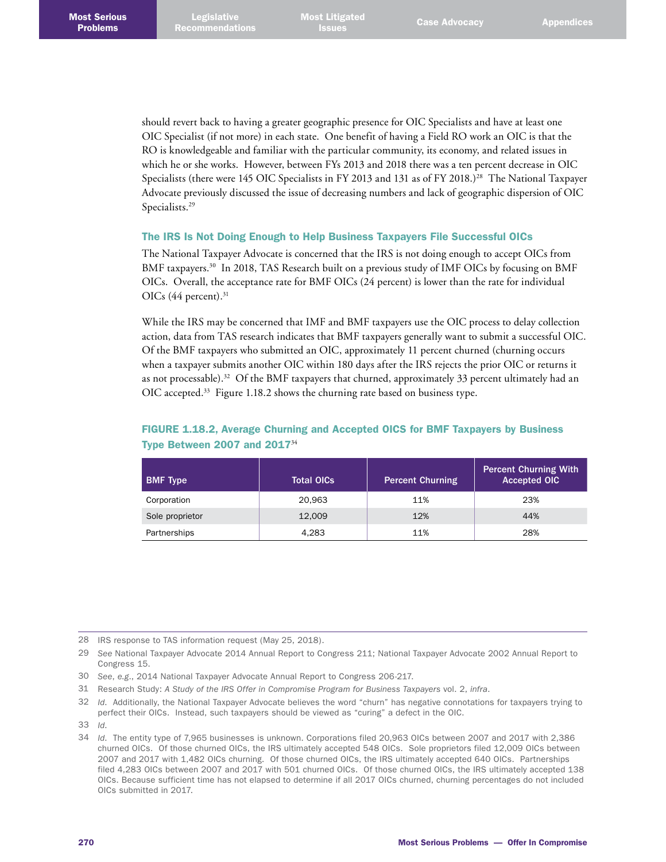should revert back to having a greater geographic presence for OIC Specialists and have at least one OIC Specialist (if not more) in each state. One benefit of having a Field RO work an OIC is that the RO is knowledgeable and familiar with the particular community, its economy, and related issues in which he or she works. However, between FYs 2013 and 2018 there was a ten percent decrease in OIC Specialists (there were 145 OIC Specialists in FY 2013 and 131 as of FY 2018.)<sup>28</sup> The National Taxpayer Advocate previously discussed the issue of decreasing numbers and lack of geographic dispersion of OIC Specialists.29

### The IRS Is Not Doing Enough to Help Business Taxpayers File Successful OICs

The National Taxpayer Advocate is concerned that the IRS is not doing enough to accept OICs from BMF taxpayers.<sup>30</sup> In 2018, TAS Research built on a previous study of IMF OICs by focusing on BMF OICs. Overall, the acceptance rate for BMF OICs (24 percent) is lower than the rate for individual OICs  $(44$  percent).<sup>31</sup>

While the IRS may be concerned that IMF and BMF taxpayers use the OIC process to delay collection action, data from TAS research indicates that BMF taxpayers generally want to submit a successful OIC. Of the BMF taxpayers who submitted an OIC, approximately 11 percent churned (churning occurs when a taxpayer submits another OIC within 180 days after the IRS rejects the prior OIC or returns it as not processable).<sup>32</sup> Of the BMF taxpayers that churned, approximately 33 percent ultimately had an OIC accepted.<sup>33</sup> Figure 1.18.2 shows the churning rate based on business type.

| <b>BMF Type</b> | <b>Total OICs</b> | <b>Percent Churning</b> | <b>Percent Churning With</b><br><b>Accepted OIC</b> |
|-----------------|-------------------|-------------------------|-----------------------------------------------------|
| Corporation     | 20.963            | 11%                     | 23%                                                 |
| Sole proprietor | 12,009            | 12%                     | 44%                                                 |
| Partnerships    | 4.283             | 11%                     | 28%                                                 |

## FIGURE 1.18.2, Average Churning and Accepted OICS for BMF Taxpayers by Business Type Between 2007 and 2017<sup>34</sup>

28 IRS response to TAS information request (May 25, 2018).

- 30 *See*, *e.g*., 2014 National Taxpayer Advocate Annual Report to Congress 206-217.
- 31 Research Study: *A Study of the IRS Offer in Compromise Program for Business Taxpayers* vol. 2, *infra*.

<sup>29</sup> *See* National Taxpayer Advocate 2014 Annual Report to Congress 211; National Taxpayer Advocate 2002 Annual Report to Congress 15.

<sup>32</sup> *Id*. Additionally, the National Taxpayer Advocate believes the word "churn" has negative connotations for taxpayers trying to perfect their OICs. Instead, such taxpayers should be viewed as "curing" a defect in the OIC.

<sup>33</sup> *Id*.

<sup>34</sup> *Id*. The entity type of 7,965 businesses is unknown. Corporations filed 20,963 OICs between 2007 and 2017 with 2,386 churned OICs. Of those churned OICs, the IRS ultimately accepted 548 OICs. Sole proprietors filed 12,009 OICs between 2007 and 2017 with 1,482 OICs churning. Of those churned OICs, the IRS ultimately accepted 640 OICs. Partnerships filed 4,283 OICs between 2007 and 2017 with 501 churned OICs. Of those churned OICs, the IRS ultimately accepted 138 OICs. Because sufficient time has not elapsed to determine if all 2017 OICs churned, churning percentages do not included OICs submitted in 2017.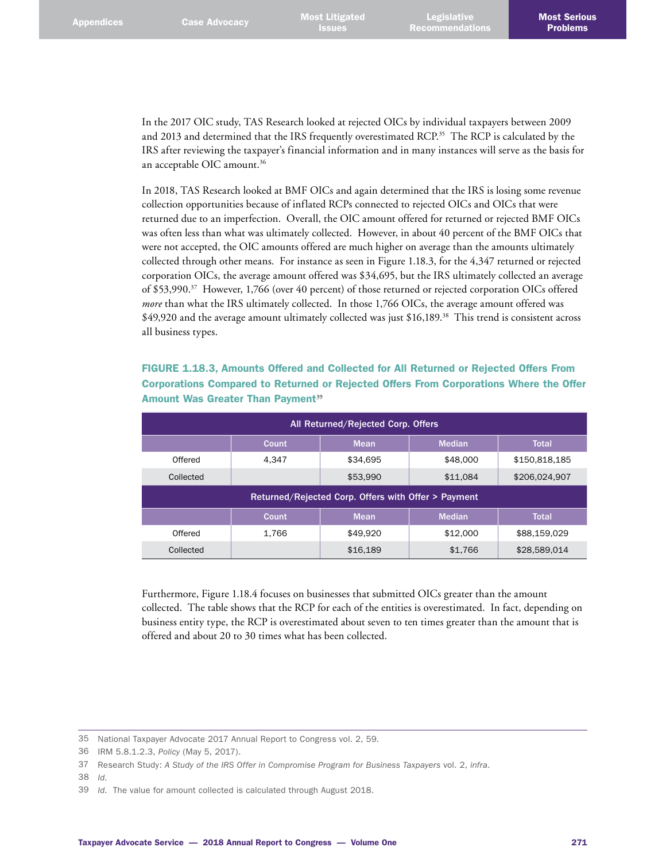In the 2017 OIC study, TAS Research looked at rejected OICs by individual taxpayers between 2009 and 2013 and determined that the IRS frequently overestimated RCP.<sup>35</sup> The RCP is calculated by the IRS after reviewing the taxpayer's financial information and in many instances will serve as the basis for an acceptable OIC amount.36

In 2018, TAS Research looked at BMF OICs and again determined that the IRS is losing some revenue collection opportunities because of inflated RCPs connected to rejected OICs and OICs that were returned due to an imperfection. Overall, the OIC amount offered for returned or rejected BMF OICs was often less than what was ultimately collected. However, in about 40 percent of the BMF OICs that were not accepted, the OIC amounts offered are much higher on average than the amounts ultimately collected through other means. For instance as seen in Figure 1.18.3, for the 4,347 returned or rejected corporation OICs, the average amount offered was \$34,695, but the IRS ultimately collected an average of \$53,990.37 However, 1,766 (over 40 percent) of those returned or rejected corporation OICs offered *more* than what the IRS ultimately collected. In those 1,766 OICs, the average amount offered was \$49,920 and the average amount ultimately collected was just \$16,189.38 This trend is consistent across all business types.

| FIGURE 1.18.3. Amounts Offered and Collected for All Returned or Rejected Offers From  |  |
|----------------------------------------------------------------------------------------|--|
| Corporations Compared to Returned or Rejected Offers From Corporations Where the Offer |  |
| <b>Amount Was Greater Than Payment<sup>39</sup></b>                                    |  |

| All Returned/Rejected Corp. Offers                  |       |             |               |               |  |  |  |  |
|-----------------------------------------------------|-------|-------------|---------------|---------------|--|--|--|--|
|                                                     | Count | <b>Mean</b> | <b>Median</b> | <b>Total</b>  |  |  |  |  |
| Offered                                             | 4.347 | \$34,695    | \$48,000      | \$150,818,185 |  |  |  |  |
| Collected                                           |       | \$53,990    | \$11,084      | \$206,024,907 |  |  |  |  |
| Returned/Rejected Corp. Offers with Offer > Payment |       |             |               |               |  |  |  |  |
|                                                     |       |             |               |               |  |  |  |  |
|                                                     | Count | <b>Mean</b> | <b>Median</b> | <b>Total</b>  |  |  |  |  |
| Offered                                             | 1.766 | \$49.920    | \$12,000      | \$88,159,029  |  |  |  |  |

Furthermore, Figure 1.18.4 focuses on businesses that submitted OICs greater than the amount collected. The table shows that the RCP for each of the entities is overestimated. In fact, depending on business entity type, the RCP is overestimated about seven to ten times greater than the amount that is offered and about 20 to 30 times what has been collected.

<sup>35</sup> National Taxpayer Advocate 2017 Annual Report to Congress vol. 2, 59.

<sup>36</sup> IRM 5.8.1.2.3, *Policy* (May 5, 2017).

<sup>37</sup> Research Study: *A Study of the IRS Offer in Compromise Program for Business Taxpayers* vol. 2, *infra*.

<sup>38</sup> *Id*.

<sup>39</sup> *Id*. The value for amount collected is calculated through August 2018.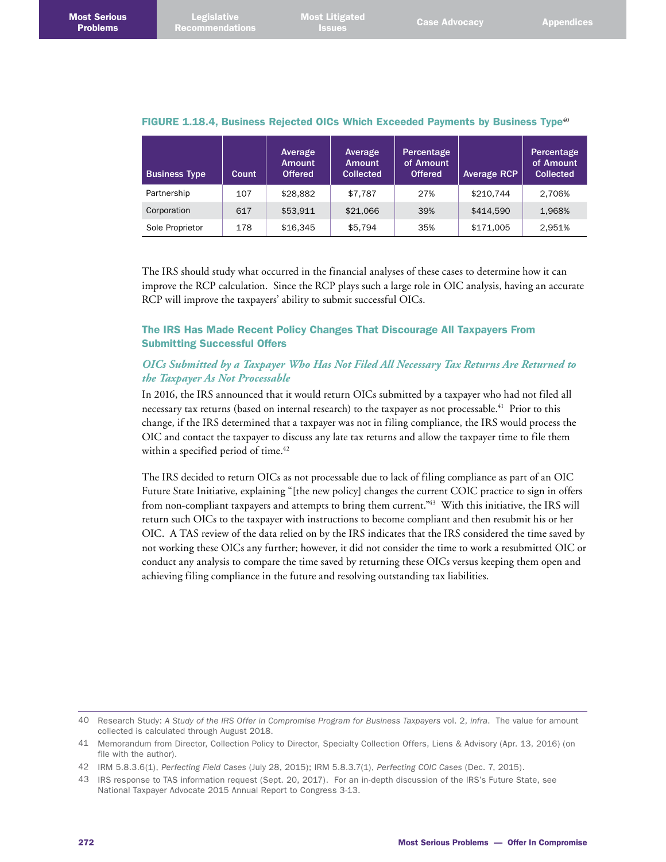Most <mark>Litigated</mark><br>Issues

|  | FIGURE 1.18.4, Business Rejected OICs Which Exceeded Payments by Business Type <sup>40</sup> |  |  |  |  |  |  |  |  |
|--|----------------------------------------------------------------------------------------------|--|--|--|--|--|--|--|--|
|--|----------------------------------------------------------------------------------------------|--|--|--|--|--|--|--|--|

| <b>Business Type</b> | <b>Count</b> | Average<br><b>Amount</b><br><b>Offered</b> | Average<br><b>Amount</b><br><b>Collected</b> | Percentage<br>of Amount<br><b>Offered</b> | <b>Average RCP</b> | Percentage<br>of Amount<br><b>Collected</b> |
|----------------------|--------------|--------------------------------------------|----------------------------------------------|-------------------------------------------|--------------------|---------------------------------------------|
| Partnership          | 107          | \$28,882                                   | \$7.787                                      | 27%                                       | \$210.744          | 2.706%                                      |
| Corporation          | 617          | \$53.911                                   | \$21,066                                     | 39%                                       | \$414.590          | 1.968%                                      |
| Sole Proprietor      | 178          | \$16.345                                   | \$5.794                                      | 35%                                       | \$171,005          | 2.951%                                      |

The IRS should study what occurred in the financial analyses of these cases to determine how it can improve the RCP calculation. Since the RCP plays such a large role in OIC analysis, having an accurate RCP will improve the taxpayers' ability to submit successful OICs.

## The IRS Has Made Recent Policy Changes That Discourage All Taxpayers From Submitting Successful Offers

# *OICs Submitted by a Taxpayer Who Has Not Filed All Necessary Tax Returns Are Returned to the Taxpayer As Not Processable*

In 2016, the IRS announced that it would return OICs submitted by a taxpayer who had not filed all necessary tax returns (based on internal research) to the taxpayer as not processable.<sup>41</sup> Prior to this change, if the IRS determined that a taxpayer was not in filing compliance, the IRS would process the OIC and contact the taxpayer to discuss any late tax returns and allow the taxpayer time to file them within a specified period of time.<sup>42</sup>

The IRS decided to return OICs as not processable due to lack of filing compliance as part of an OIC Future State Initiative, explaining "[the new policy] changes the current COIC practice to sign in offers from non-compliant taxpayers and attempts to bring them current."43 With this initiative, the IRS will return such OICs to the taxpayer with instructions to become compliant and then resubmit his or her OIC. A TAS review of the data relied on by the IRS indicates that the IRS considered the time saved by not working these OICs any further; however, it did not consider the time to work a resubmitted OIC or conduct any analysis to compare the time saved by returning these OICs versus keeping them open and achieving filing compliance in the future and resolving outstanding tax liabilities.

<sup>40</sup> Research Study: *A Study of the IRS Offer in Compromise Program for Business Taxpayers* vol. 2, *infra*. The value for amount collected is calculated through August 2018.

<sup>41</sup> Memorandum from Director, Collection Policy to Director, Specialty Collection Offers, Liens & Advisory (Apr. 13, 2016) (on file with the author).

<sup>42</sup> IRM 5.8.3.6(1), *Perfecting Field Cases* (July 28, 2015); IRM 5.8.3.7(1), *Perfecting COIC Cases* (Dec. 7, 2015).

<sup>43</sup> IRS response to TAS information request (Sept. 20, 2017). For an in-depth discussion of the IRS's Future State, see National Taxpayer Advocate 2015 Annual Report to Congress 3-13.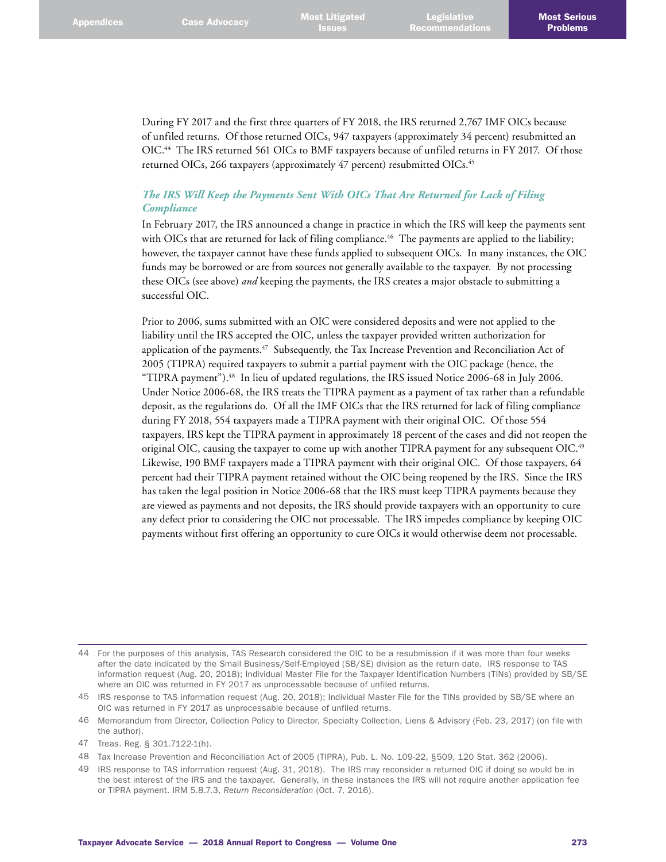During FY 2017 and the first three quarters of FY 2018, the IRS returned 2,767 IMF OICs because of unfiled returns. Of those returned OICs, 947 taxpayers (approximately 34 percent) resubmitted an OIC.44 The IRS returned 561 OICs to BMF taxpayers because of unfiled returns in FY 2017. Of those returned OICs, 266 taxpayers (approximately 47 percent) resubmitted OICs.<sup>45</sup>

## *The IRS Will Keep the Payments Sent With OICs That Are Returned for Lack of Filing Compliance*

In February 2017, the IRS announced a change in practice in which the IRS will keep the payments sent with OICs that are returned for lack of filing compliance.<sup>46</sup> The payments are applied to the liability; however, the taxpayer cannot have these funds applied to subsequent OICs. In many instances, the OIC funds may be borrowed or are from sources not generally available to the taxpayer. By not processing these OICs (see above) *and* keeping the payments, the IRS creates a major obstacle to submitting a successful OIC.

Prior to 2006, sums submitted with an OIC were considered deposits and were not applied to the liability until the IRS accepted the OIC, unless the taxpayer provided written authorization for application of the payments.<sup>47</sup> Subsequently, the Tax Increase Prevention and Reconciliation Act of 2005 (TIPRA) required taxpayers to submit a partial payment with the OIC package (hence, the "TIPRA payment").48 In lieu of updated regulations, the IRS issued Notice 2006-68 in July 2006. Under Notice 2006-68, the IRS treats the TIPRA payment as a payment of tax rather than a refundable deposit, as the regulations do. Of all the IMF OICs that the IRS returned for lack of filing compliance during FY 2018, 554 taxpayers made a TIPRA payment with their original OIC. Of those 554 taxpayers, IRS kept the TIPRA payment in approximately 18 percent of the cases and did not reopen the original OIC, causing the taxpayer to come up with another TIPRA payment for any subsequent OIC.<sup>49</sup> Likewise, 190 BMF taxpayers made a TIPRA payment with their original OIC. Of those taxpayers, 64 percent had their TIPRA payment retained without the OIC being reopened by the IRS. Since the IRS has taken the legal position in Notice 2006-68 that the IRS must keep TIPRA payments because they are viewed as payments and not deposits, the IRS should provide taxpayers with an opportunity to cure any defect prior to considering the OIC not processable. The IRS impedes compliance by keeping OIC payments without first offering an opportunity to cure OICs it would otherwise deem not processable.

<sup>44</sup> For the purposes of this analysis, TAS Research considered the OIC to be a resubmission if it was more than four weeks after the date indicated by the Small Business/Self-Employed (SB/SE) division as the return date. IRS response to TAS information request (Aug. 20, 2018); Individual Master File for the Taxpayer Identification Numbers (TINs) provided by SB/SE where an OIC was returned in FY 2017 as unprocessable because of unfiled returns.

<sup>45</sup> IRS response to TAS information request (Aug. 20, 2018); Individual Master File for the TINs provided by SB/SE where an OIC was returned in FY 2017 as unprocessable because of unfiled returns.

<sup>46</sup> Memorandum from Director, Collection Policy to Director, Specialty Collection, Liens & Advisory (Feb. 23, 2017) (on file with the author).

<sup>47</sup> Treas. Reg. § 301.7122-1(h).

<sup>48</sup> Tax Increase Prevention and Reconciliation Act of 2005 (TIPRA), Pub. L. No. 109-22, §509, 120 Stat. 362 (2006).

<sup>49</sup> IRS response to TAS information request (Aug. 31, 2018). The IRS may reconsider a returned OIC if doing so would be in the best interest of the IRS and the taxpayer. Generally, in these instances the IRS will not require another application fee or TIPRA payment. IRM 5.8.7.3, *Return Reconsideration* (Oct. 7, 2016).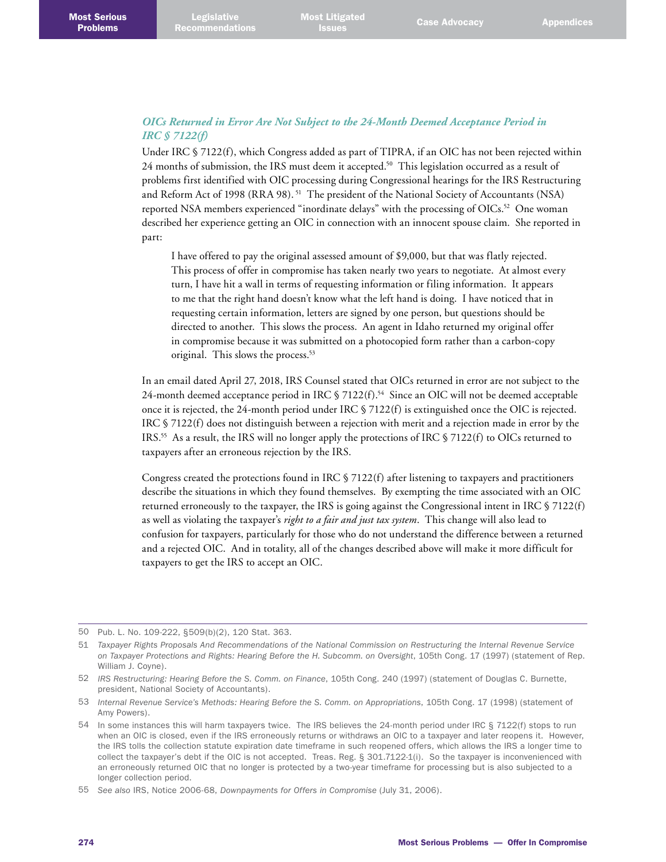## *OICs Returned in Error Are Not Subject to the 24-Month Deemed Acceptance Period in IRC § 7122(f)*

Under IRC § 7122(f), which Congress added as part of TIPRA, if an OIC has not been rejected within 24 months of submission, the IRS must deem it accepted.<sup>50</sup> This legislation occurred as a result of problems first identified with OIC processing during Congressional hearings for the IRS Restructuring and Reform Act of 1998 (RRA 98).<sup>51</sup> The president of the National Society of Accountants (NSA) reported NSA members experienced "inordinate delays" with the processing of OICs.<sup>52</sup> One woman described her experience getting an OIC in connection with an innocent spouse claim. She reported in part:

I have offered to pay the original assessed amount of \$9,000, but that was flatly rejected. This process of offer in compromise has taken nearly two years to negotiate. At almost every turn, I have hit a wall in terms of requesting information or filing information. It appears to me that the right hand doesn't know what the left hand is doing. I have noticed that in requesting certain information, letters are signed by one person, but questions should be directed to another. This slows the process. An agent in Idaho returned my original offer in compromise because it was submitted on a photocopied form rather than a carbon-copy original. This slows the process.53

In an email dated April 27, 2018, IRS Counsel stated that OICs returned in error are not subject to the 24-month deemed acceptance period in IRC  $\S$  7122(f).<sup>54</sup> Since an OIC will not be deemed acceptable once it is rejected, the 24-month period under IRC § 7122(f) is extinguished once the OIC is rejected. IRC § 7122(f) does not distinguish between a rejection with merit and a rejection made in error by the IRS.<sup>55</sup> As a result, the IRS will no longer apply the protections of IRC  $\frac{1}{2}$  7122(f) to OICs returned to taxpayers after an erroneous rejection by the IRS.

Congress created the protections found in IRC  $\S$  7122(f) after listening to taxpayers and practitioners describe the situations in which they found themselves. By exempting the time associated with an OIC returned erroneously to the taxpayer, the IRS is going against the Congressional intent in IRC § 7122(f) as well as violating the taxpayer's *right to a fair and just tax system*. This change will also lead to confusion for taxpayers, particularly for those who do not understand the difference between a returned and a rejected OIC. And in totality, all of the changes described above will make it more difficult for taxpayers to get the IRS to accept an OIC.

<sup>50</sup> Pub. L. No. 109-222, §509(b)(2), 120 Stat. 363.

<sup>51</sup> *Taxpayer Rights Proposals And Recommendations of the National Commission on Restructuring the Internal Revenue Service on Taxpayer Protections and Rights: Hearing Before the H. Subcomm. on Oversight*, 105th Cong. 17 (1997) (statement of Rep. William J. Coyne).

<sup>52</sup> *IRS Restructuring: Hearing Before the S. Comm. on Finance*, 105th Cong. 240 (1997) (statement of Douglas C. Burnette, president, National Society of Accountants).

<sup>53</sup> *Internal Revenue Service's Methods: Hearing Before the S. Comm. on Appropriations*, 105th Cong. 17 (1998) (statement of Amy Powers).

<sup>54</sup> In some instances this will harm taxpayers twice. The IRS believes the 24-month period under IRC § 7122(f) stops to run when an OIC is closed, even if the IRS erroneously returns or withdraws an OIC to a taxpayer and later reopens it. However, the IRS tolls the collection statute expiration date timeframe in such reopened offers, which allows the IRS a longer time to collect the taxpayer's debt if the OIC is not accepted. Treas. Reg. § 301.7122-1(i). So the taxpayer is inconvenienced with an erroneously returned OIC that no longer is protected by a two-year timeframe for processing but is also subjected to a longer collection period.

<sup>55</sup> *See also* IRS, Notice 2006-68, *Downpayments for Offers in Compromise* (July 31, 2006).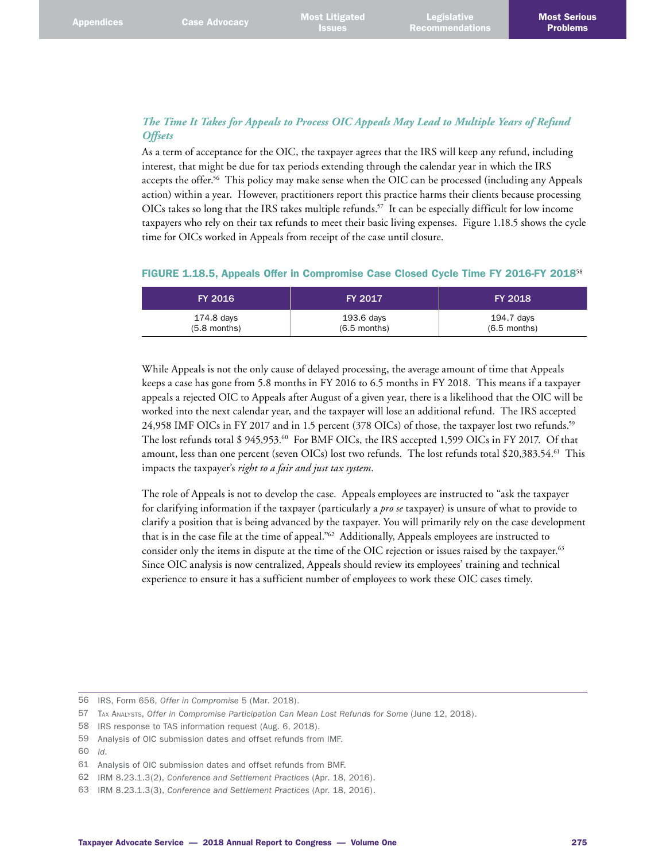# *The Time It Takes for Appeals to Process OIC Appeals May Lead to Multiple Years of Refund Offsets*

As a term of acceptance for the OIC, the taxpayer agrees that the IRS will keep any refund, including interest, that might be due for tax periods extending through the calendar year in which the IRS accepts the offer.56 This policy may make sense when the OIC can be processed (including any Appeals action) within a year. However, practitioners report this practice harms their clients because processing OICs takes so long that the IRS takes multiple refunds.<sup>57</sup> It can be especially difficult for low income taxpayers who rely on their tax refunds to meet their basic living expenses. Figure 1.18.5 shows the cycle time for OICs worked in Appeals from receipt of the case until closure.

|  |  | FIGURE 1.18.5, Appeals Offer in Compromise Case Closed Cycle Time FY 2016-FY 2018 <sup>58</sup> |  |  |  |  |
|--|--|-------------------------------------------------------------------------------------------------|--|--|--|--|
|  |  |                                                                                                 |  |  |  |  |

| <b>FY 2016</b> | <b>FY 2017</b> | <b>FY 2018</b> |
|----------------|----------------|----------------|
| 174.8 days     | 193.6 days     | 194.7 days     |
| $(5.8$ months) | $(6.5$ months) | $(6.5$ months) |

While Appeals is not the only cause of delayed processing, the average amount of time that Appeals keeps a case has gone from 5.8 months in FY 2016 to 6.5 months in FY 2018. This means if a taxpayer appeals a rejected OIC to Appeals after August of a given year, there is a likelihood that the OIC will be worked into the next calendar year, and the taxpayer will lose an additional refund. The IRS accepted 24,958 IMF OICs in FY 2017 and in 1.5 percent (378 OICs) of those, the taxpayer lost two refunds.59 The lost refunds total \$ 945,953.<sup>60</sup> For BMF OICs, the IRS accepted 1,599 OICs in FY 2017. Of that amount, less than one percent (seven OICs) lost two refunds. The lost refunds total \$20,383.54.<sup>61</sup> This impacts the taxpayer's *right to a fair and just tax system*.

The role of Appeals is not to develop the case. Appeals employees are instructed to "ask the taxpayer for clarifying information if the taxpayer (particularly a *pro se* taxpayer) is unsure of what to provide to clarify a position that is being advanced by the taxpayer. You will primarily rely on the case development that is in the case file at the time of appeal."62 Additionally, Appeals employees are instructed to consider only the items in dispute at the time of the OIC rejection or issues raised by the taxpayer.<sup>63</sup> Since OIC analysis is now centralized, Appeals should review its employees' training and technical experience to ensure it has a sufficient number of employees to work these OIC cases timely.

60 *Id*.

<sup>56</sup> IRS, Form 656, *Offer in Compromise* 5 (Mar. 2018).

<sup>57</sup> Tax Analysts, *Offer in Compromise Participation Can Mean Lost Refunds for Some* (June 12, 2018).

<sup>58</sup> IRS response to TAS information request (Aug. 6, 2018).

<sup>59</sup> Analysis of OIC submission dates and offset refunds from IMF.

<sup>61</sup> Analysis of OIC submission dates and offset refunds from BMF.

<sup>62</sup> IRM 8.23.1.3(2), *Conference and Settlement Practices* (Apr. 18, 2016).

<sup>63</sup> IRM 8.23.1.3(3), *Conference and Settlement Practices* (Apr. 18, 2016).